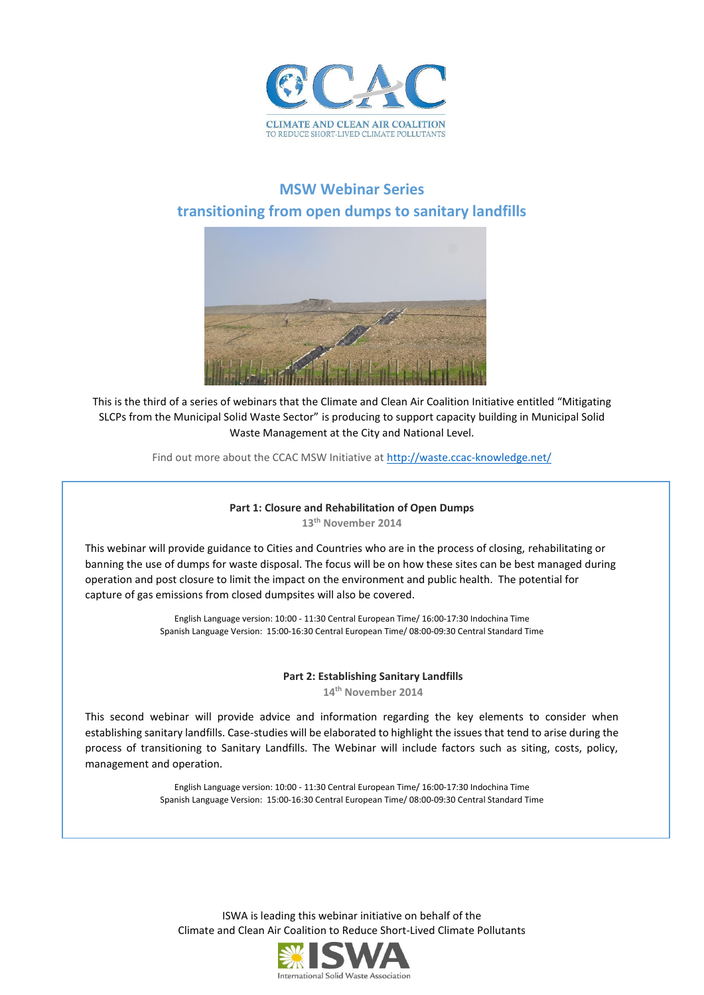

## **MSW Webinar Series transitioning from open dumps to sanitary landfills**



This is the third of a series of webinars that the Climate and Clean Air Coalition Initiative entitled "Mitigating SLCPs from the Municipal Solid Waste Sector" is producing to support capacity building in Municipal Solid Waste Management at the City and National Level.

Find out more about the CCAC MSW Initiative at<http://waste.ccac-knowledge.net/>

# **Part 1: Closure and Rehabilitation of Open Dumps**

**13th November 2014**

This webinar will provide guidance to Cities and Countries who are in the process of closing, rehabilitating or banning the use of dumps for waste disposal. The focus will be on how these sites can be best managed during operation and post closure to limit the impact on the environment and public health. The potential for capture of gas emissions from closed dumpsites will also be covered.

> English Language version: 10:00 - 11:30 Central European Time/ 16:00-17:30 Indochina Time Spanish Language Version: 15:00-16:30 Central European Time/ 08:00-09:30 Central Standard Time

#### **Part 2: Establishing Sanitary Landfills**

**14th November 2014**

This second webinar will provide advice and information regarding the key elements to consider when establishing sanitary landfills. Case-studies will be elaborated to highlight the issues that tend to arise during the process of transitioning to Sanitary Landfills. The Webinar will include factors such as siting, costs, policy, management and operation.

> English Language version: 10:00 - 11:30 Central European Time/ 16:00-17:30 Indochina Time Spanish Language Version: 15:00-16:30 Central European Time/ 08:00-09:30 Central Standard Time

ISWA is leading this webinar initiative on behalf of the Climate and Clean Air Coalition to Reduce Short-Lived Climate Pollutants